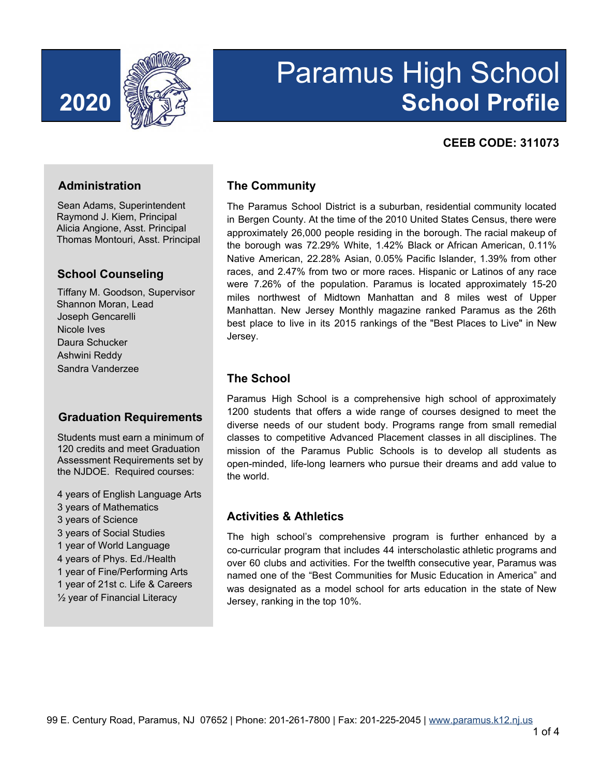

# Paramus High School **2020 School Profile**

### **CEEB CODE: 311073**

#### **Administration**

Sean Adams, Superintendent Raymond J. Kiem, Principal Alicia Angione, Asst. Principal Thomas Montouri, Asst. Principal

#### **School Counseling**

Tiffany M. Goodson, Supervisor Shannon Moran, Lead Joseph Gencarelli Nicole Ives Daura Schucker Ashwini Reddy Sandra Vanderzee

#### **Graduation Requirements**

Students must earn a minimum of 120 credits and meet Graduation Assessment Requirements set by the NJDOE. Required courses:

 years of English Language Arts years of Mathematics years of Science years of Social Studies year of World Language years of Phys. Ed./Health year of Fine/Performing Arts year of 21st c. Life & Careers ½ year of Financial Literacy

#### **The Community**

The Paramus School District is a suburban, residential community located in Bergen County. At the time of the 2010 United States Census, there were approximately 26,000 people residing in the borough. The racial makeup of the borough was 72.29% White, 1.42% Black or African American, 0.11% Native American, 22.28% Asian, 0.05% Pacific Islander, 1.39% from other races, and 2.47% from two or more races. Hispanic or Latinos of any race were 7.26% of the population. Paramus is located approximately 15-20 miles northwest of Midtown Manhattan and 8 miles west of Upper Manhattan. New Jersey Monthly magazine ranked Paramus as the 26th best place to live in its 2015 rankings of the "Best Places to Live" in New Jersey.

# **The School**

Paramus High School is a comprehensive high school of approximately 1200 students that offers a wide range of courses designed to meet the diverse needs of our student body. Programs range from small remedial classes to competitive Advanced Placement classes in all disciplines. The mission of the Paramus Public Schools is to develop all students as open-minded, life-long learners who pursue their dreams and add value to the world.

#### **Activities & Athletics**

The high school's comprehensive program is further enhanced by a co-curricular program that includes 44 interscholastic athletic programs and over 60 clubs and activities. For the twelfth consecutive year, Paramus was named one of the "Best Communities for Music Education in America" and was designated as a model school for arts education in the state of New Jersey, ranking in the top 10%.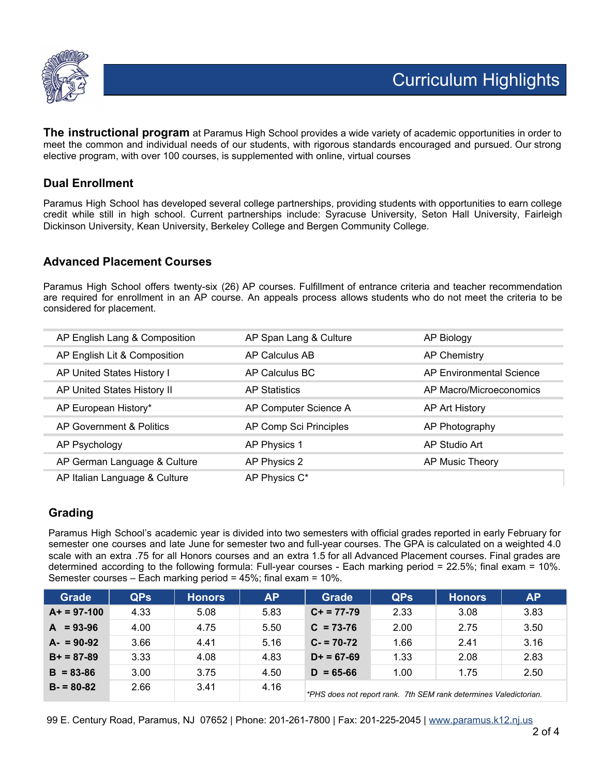

**The instructional program** at Paramus High School provides a wide variety of academic opportunities in order to meet the common and individual needs of our students, with rigorous standards encouraged and pursued. Our strong elective program, with over 100 courses, is supplemented with online, virtual courses

#### **Dual Enrollment**

Paramus High School has developed several college partnerships, providing students with opportunities to earn college credit while still in high school. Current partnerships include: Syracuse University, Seton Hall University, Fairleigh Dickinson University, Kean University, Berkeley College and Bergen Community College.

#### **Advanced Placement Courses**

Paramus High School offers twenty-six (26) AP courses. Fulfillment of entrance criteria and teacher recommendation are required for enrollment in an AP course. An appeals process allows students who do not meet the criteria to be considered for placement.

| AP English Lang & Composition | AP Span Lang & Culture | AP Biology               |
|-------------------------------|------------------------|--------------------------|
| AP English Lit & Composition  | AP Calculus AB         | AP Chemistry             |
| AP United States History I    | AP Calculus BC         | AP Environmental Science |
| AP United States History II   | <b>AP Statistics</b>   | AP Macro/Microeconomics  |
| AP European History*          | AP Computer Science A  | AP Art History           |
| AP Government & Politics      | AP Comp Sci Principles | AP Photography           |
| AP Psychology                 | AP Physics 1           | AP Studio Art            |
| AP German Language & Culture  | AP Physics 2           | AP Music Theory          |
| AP Italian Language & Culture | AP Physics C*          |                          |

#### **Grading**

Paramus High School's academic year is divided into two semesters with official grades reported in early February for semester one courses and late June for semester two and full-year courses. The GPA is calculated on a weighted 4.0 scale with an extra .75 for all Honors courses and an extra 1.5 for all Advanced Placement courses. Final grades are determined according to the following formula: Full-year courses - Each marking period = 22.5%; final exam = 10%. Semester courses – Each marking period = 45%; final exam = 10%.

| <b>Grade</b>  | QP <sub>s</sub> | <b>Honors</b> | <b>AP</b> | <b>Grade</b>  | <b>QPs</b> | <b>Honors</b>                                                     | <b>AP</b> |
|---------------|-----------------|---------------|-----------|---------------|------------|-------------------------------------------------------------------|-----------|
| $A+ = 97-100$ | 4.33            | 5.08          | 5.83      | $C+ = 77-79$  | 2.33       | 3.08                                                              | 3.83      |
| $A = 93-96$   | 4.00            | 4.75          | 5.50      | $C = 73-76$   | 2.00       | 2.75                                                              | 3.50      |
| $A - 90-92$   | 3.66            | 4.41          | 5.16      | $C - 70 - 72$ | 1.66       | 2.41                                                              | 3.16      |
| $B+ = 87-89$  | 3.33            | 4.08          | 4.83      | $D+ = 67-69$  | 1.33       | 2.08                                                              | 2.83      |
| $B = 83 - 86$ | 3.00            | 3.75          | 4.50      | $D = 65-66$   | 1.00       | 1.75                                                              | 2.50      |
| $B = 80-82$   | 2.66            | 3.41          | 4.16      |               |            | *PHS does not report rank. 7th SEM rank determines Valedictorian. |           |

99 E. Century Road, Paramus, NJ 07652 | Phone: 201-261-7800 | Fax: 201-225-2045 | www.paramus.k12.nj.us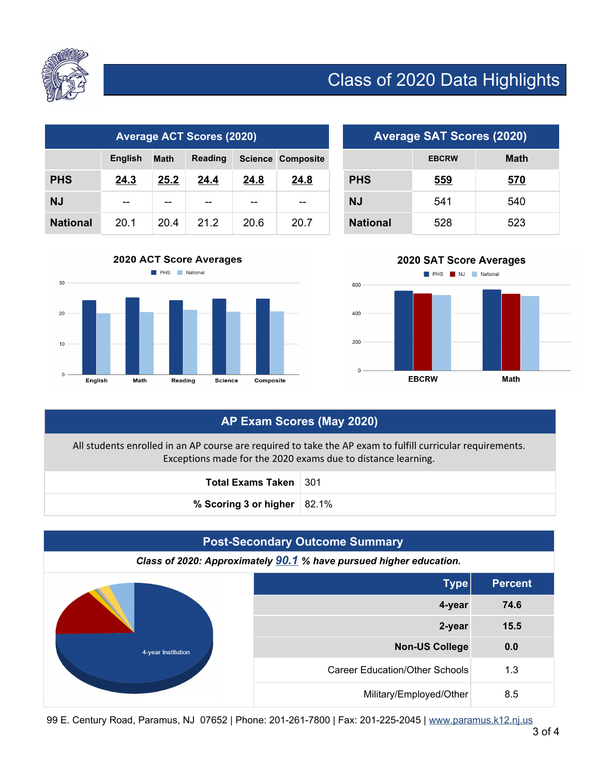

# Class of 2020 Data Highlights

| <b>Average ACT Scores (2020)</b> |                |             |         |      | <b>Average SAT Scores (2020)</b> |                 |              |             |
|----------------------------------|----------------|-------------|---------|------|----------------------------------|-----------------|--------------|-------------|
|                                  | <b>English</b> | <b>Math</b> | Reading |      | <b>Science Composite</b>         |                 | <b>EBCRW</b> | <b>Math</b> |
| <b>PHS</b>                       | 24.3           | 25.2        | 24.4    | 24.8 | 24.8                             | <b>PHS</b>      | 559          | 570         |
| ΝJ                               | $- -$          | $- -$       | $- -$   | --   | $- -$                            | <b>NJ</b>       | 541          | 540         |
| <b>National</b>                  | 20.1           | 20.4        | 21.2    | 20.6 | 20.7                             | <b>National</b> | 528          | 523         |

| <b>Average SAT Scores (2020)</b> |              |             |  |
|----------------------------------|--------------|-------------|--|
|                                  | <b>EBCRW</b> | <b>Math</b> |  |
| <b>PHS</b>                       | 559          | 570         |  |
| NJ                               | 541          | 540         |  |
| <b>National</b>                  | 528          | 523         |  |





# **AP Exam Scores (May 2020)**

All students enrolled in an AP course are required to take the AP exam to fulfill curricular requirements. Exceptions made for the 2020 exams due to distance learning.

| Total Exams Taken   301          |  |
|----------------------------------|--|
| % Scoring 3 or higher $ 82.1\% $ |  |



99 E. Century Road, Paramus, NJ 07652 | Phone: 201-261-7800 | Fax: 201-225-2045 | www.paramus.k12.nj.us